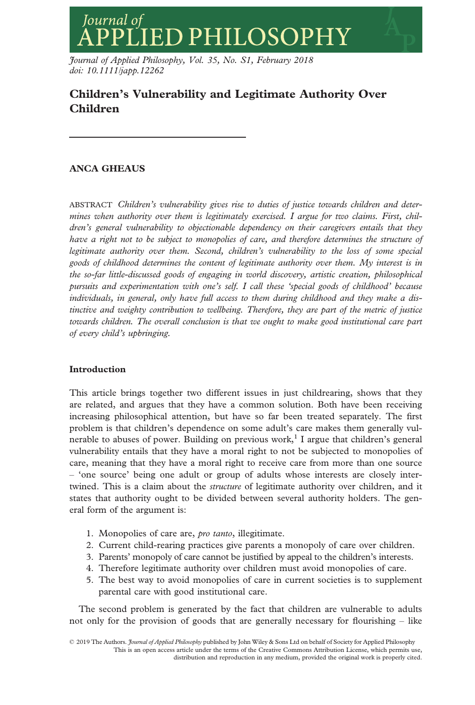# Journal of **ED PHILOSOPHY**

Journal of Applied Philosophy, Vol. 35, No. S1, February 2018 doi: 10.1111/japp.12262

## Children's Vulnerability and Legitimate Authority Over Children

### ANCA GHEAUS

ABSTRACT Children's vulnerability gives rise to duties of justice towards children and determines when authority over them is legitimately exercised. I argue for two claims. First, children's general vulnerability to objectionable dependency on their caregivers entails that they have a right not to be subject to monopolies of care, and therefore determines the structure of legitimate authority over them. Second, children's vulnerability to the loss of some special goods of childhood determines the content of legitimate authority over them. My interest is in the so-far little-discussed goods of engaging in world discovery, artistic creation, philosophical pursuits and experimentation with one's self. I call these 'special goods of childhood' because individuals, in general, only have full access to them during childhood and they make a distinctive and weighty contribution to wellbeing. Therefore, they are part of the metric of justice towards children. The overall conclusion is that we ought to make good institutional care part of every child's upbringing.

#### Introduction

This article brings together two different issues in just childrearing, shows that they are related, and argues that they have a common solution. Both have been receiving increasing philosophical attention, but have so far been treated separately. The first problem is that children's dependence on some adult's care makes them generally vulnerable to abuses of power. Building on previous work, $<sup>1</sup>$  I argue that children's general</sup> vulnerability entails that they have a moral right to not be subjected to monopolies of care, meaning that they have a moral right to receive care from more than one source – 'one source' being one adult or group of adults whose interests are closely intertwined. This is a claim about the structure of legitimate authority over children, and it states that authority ought to be divided between several authority holders. The general form of the argument is:

- 1. Monopolies of care are, pro tanto, illegitimate.
- 2. Current child-rearing practices give parents a monopoly of care over children.
- 3. Parents' monopoly of care cannot be justified by appeal to the children's interests.
- 4. Therefore legitimate authority over children must avoid monopolies of care.
- 5. The best way to avoid monopolies of care in current societies is to supplement parental care with good institutional care.

The second problem is generated by the fact that children are vulnerable to adults not only for the provision of goods that are generally necessary for flourishing – like

© 2019 The Authors. *Journal of Applied Philosophy* published by John Wiley & Sons Ltd on behalf of Society for Applied Philosophy This is an open access article under the terms of the [Creative Commons Attribution](http://creativecommons.org/licenses/by/4.0/) License, which permits use, distribution and reproduction in any medium, provided the original work is properly cited.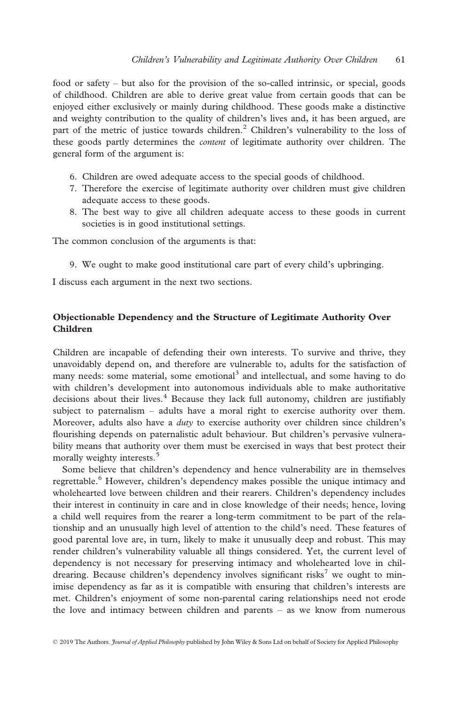food or safety – but also for the provision of the so-called intrinsic, or special, goods of childhood. Children are able to derive great value from certain goods that can be enjoyed either exclusively or mainly during childhood. These goods make a distinctive and weighty contribution to the quality of children's lives and, it has been argued, are part of the metric of justice towards children.<sup>2</sup> Children's vulnerability to the loss of these goods partly determines the content of legitimate authority over children. The general form of the argument is:

- 6. Children are owed adequate access to the special goods of childhood.
- 7. Therefore the exercise of legitimate authority over children must give children adequate access to these goods.
- 8. The best way to give all children adequate access to these goods in current societies is in good institutional settings.

The common conclusion of the arguments is that:

9. We ought to make good institutional care part of every child's upbringing.

I discuss each argument in the next two sections.

#### Objectionable Dependency and the Structure of Legitimate Authority Over Children

Children are incapable of defending their own interests. To survive and thrive, they unavoidably depend on, and therefore are vulnerable to, adults for the satisfaction of many needs: some material, some emotional<sup>3</sup> and intellectual, and some having to do with children's development into autonomous individuals able to make authoritative decisions about their lives. $4$  Because they lack full autonomy, children are justifiably subject to paternalism – adults have a moral right to exercise authority over them. Moreover, adults also have a *duty* to exercise authority over children since children's flourishing depends on paternalistic adult behaviour. But children's pervasive vulnerability means that authority over them must be exercised in ways that best protect their morally weighty interests.<sup>5</sup>

Some believe that children's dependency and hence vulnerability are in themselves regrettable.<sup>6</sup> However, children's dependency makes possible the unique intimacy and wholehearted love between children and their rearers. Children's dependency includes their interest in continuity in care and in close knowledge of their needs; hence, loving a child well requires from the rearer a long-term commitment to be part of the relationship and an unusually high level of attention to the child's need. These features of good parental love are, in turn, likely to make it unusually deep and robust. This may render children's vulnerability valuable all things considered. Yet, the current level of dependency is not necessary for preserving intimacy and wholehearted love in childrearing. Because children's dependency involves significant risks<sup>7</sup> we ought to minimise dependency as far as it is compatible with ensuring that children's interests are met. Children's enjoyment of some non-parental caring relationships need not erode the love and intimacy between children and parents – as we know from numerous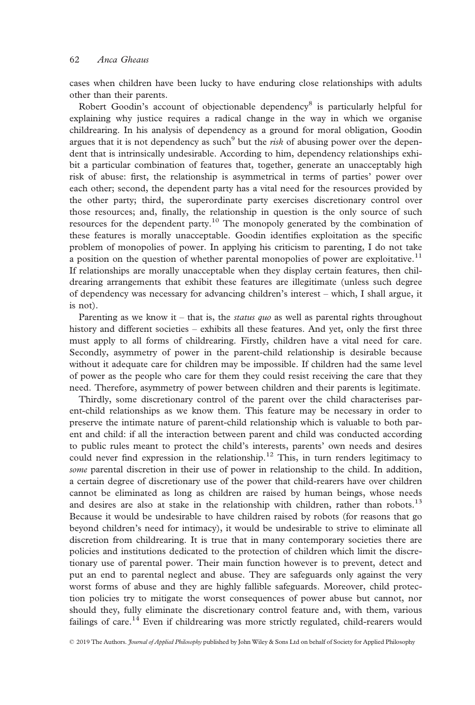cases when children have been lucky to have enduring close relationships with adults other than their parents.

Robert Goodin's account of objectionable dependency<sup>8</sup> is particularly helpful for explaining why justice requires a radical change in the way in which we organise childrearing. In his analysis of dependency as a ground for moral obligation, Goodin argues that it is not dependency as such<sup>9</sup> but the *risk* of abusing power over the dependent that is intrinsically undesirable. According to him, dependency relationships exhibit a particular combination of features that, together, generate an unacceptably high risk of abuse: first, the relationship is asymmetrical in terms of parties' power over each other; second, the dependent party has a vital need for the resources provided by the other party; third, the superordinate party exercises discretionary control over those resources; and, finally, the relationship in question is the only source of such resources for the dependent party.<sup>10</sup> The monopoly generated by the combination of these features is morally unacceptable. Goodin identifies exploitation as the specific problem of monopolies of power. In applying his criticism to parenting, I do not take a position on the question of whether parental monopolies of power are exploitative.<sup>11</sup> If relationships are morally unacceptable when they display certain features, then childrearing arrangements that exhibit these features are illegitimate (unless such degree of dependency was necessary for advancing children's interest – which, I shall argue, it is not).

Parenting as we know it – that is, the *status quo* as well as parental rights throughout history and different societies – exhibits all these features. And yet, only the first three must apply to all forms of childrearing. Firstly, children have a vital need for care. Secondly, asymmetry of power in the parent-child relationship is desirable because without it adequate care for children may be impossible. If children had the same level of power as the people who care for them they could resist receiving the care that they need. Therefore, asymmetry of power between children and their parents is legitimate.

Thirdly, some discretionary control of the parent over the child characterises parent-child relationships as we know them. This feature may be necessary in order to preserve the intimate nature of parent-child relationship which is valuable to both parent and child: if all the interaction between parent and child was conducted according to public rules meant to protect the child's interests, parents' own needs and desires could never find expression in the relationship.<sup>12</sup> This, in turn renders legitimacy to some parental discretion in their use of power in relationship to the child. In addition, a certain degree of discretionary use of the power that child-rearers have over children cannot be eliminated as long as children are raised by human beings, whose needs and desires are also at stake in the relationship with children, rather than robots.<sup>13</sup> Because it would be undesirable to have children raised by robots (for reasons that go beyond children's need for intimacy), it would be undesirable to strive to eliminate all discretion from childrearing. It is true that in many contemporary societies there are policies and institutions dedicated to the protection of children which limit the discretionary use of parental power. Their main function however is to prevent, detect and put an end to parental neglect and abuse. They are safeguards only against the very worst forms of abuse and they are highly fallible safeguards. Moreover, child protection policies try to mitigate the worst consequences of power abuse but cannot, nor should they, fully eliminate the discretionary control feature and, with them, various failings of care.<sup>14</sup> Even if childrearing was more strictly regulated, child-rearers would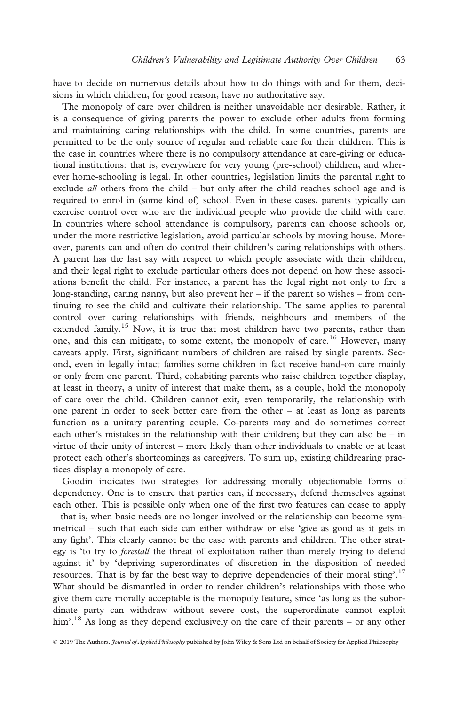have to decide on numerous details about how to do things with and for them, decisions in which children, for good reason, have no authoritative say.

The monopoly of care over children is neither unavoidable nor desirable. Rather, it is a consequence of giving parents the power to exclude other adults from forming and maintaining caring relationships with the child. In some countries, parents are permitted to be the only source of regular and reliable care for their children. This is the case in countries where there is no compulsory attendance at care-giving or educational institutions: that is, everywhere for very young (pre-school) children, and wherever home-schooling is legal. In other countries, legislation limits the parental right to exclude *all* others from the child – but only after the child reaches school age and is required to enrol in (some kind of) school. Even in these cases, parents typically can exercise control over who are the individual people who provide the child with care. In countries where school attendance is compulsory, parents can choose schools or, under the more restrictive legislation, avoid particular schools by moving house. Moreover, parents can and often do control their children's caring relationships with others. A parent has the last say with respect to which people associate with their children, and their legal right to exclude particular others does not depend on how these associations benefit the child. For instance, a parent has the legal right not only to fire a long-standing, caring nanny, but also prevent her  $-$  if the parent so wishes  $-$  from continuing to see the child and cultivate their relationship. The same applies to parental control over caring relationships with friends, neighbours and members of the extended family.<sup>15</sup> Now, it is true that most children have two parents, rather than one, and this can mitigate, to some extent, the monopoly of care.<sup>16</sup> However, many caveats apply. First, significant numbers of children are raised by single parents. Second, even in legally intact families some children in fact receive hand-on care mainly or only from one parent. Third, cohabiting parents who raise children together display, at least in theory, a unity of interest that make them, as a couple, hold the monopoly of care over the child. Children cannot exit, even temporarily, the relationship with one parent in order to seek better care from the other – at least as long as parents function as a unitary parenting couple. Co-parents may and do sometimes correct each other's mistakes in the relationship with their children; but they can also be  $-$  in virtue of their unity of interest – more likely than other individuals to enable or at least protect each other's shortcomings as caregivers. To sum up, existing childrearing practices display a monopoly of care.

Goodin indicates two strategies for addressing morally objectionable forms of dependency. One is to ensure that parties can, if necessary, defend themselves against each other. This is possible only when one of the first two features can cease to apply – that is, when basic needs are no longer involved or the relationship can become symmetrical – such that each side can either withdraw or else 'give as good as it gets in any fight'. This clearly cannot be the case with parents and children. The other strategy is 'to try to forestall the threat of exploitation rather than merely trying to defend against it' by 'depriving superordinates of discretion in the disposition of needed resources. That is by far the best way to deprive dependencies of their moral sting'.<sup>17</sup> What should be dismantled in order to render children's relationships with those who give them care morally acceptable is the monopoly feature, since 'as long as the subordinate party can withdraw without severe cost, the superordinate cannot exploit him'.<sup>18</sup> As long as they depend exclusively on the care of their parents – or any other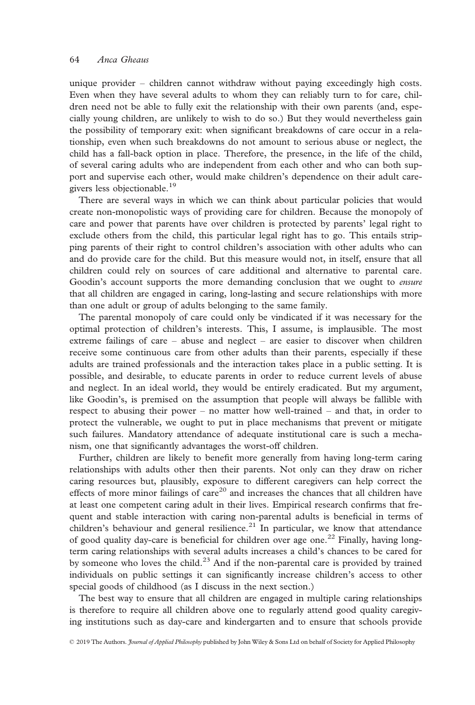unique provider – children cannot withdraw without paying exceedingly high costs. Even when they have several adults to whom they can reliably turn to for care, children need not be able to fully exit the relationship with their own parents (and, especially young children, are unlikely to wish to do so.) But they would nevertheless gain the possibility of temporary exit: when significant breakdowns of care occur in a relationship, even when such breakdowns do not amount to serious abuse or neglect, the child has a fall-back option in place. Therefore, the presence, in the life of the child, of several caring adults who are independent from each other and who can both support and supervise each other, would make children's dependence on their adult caregivers less objectionable.<sup>19</sup>

There are several ways in which we can think about particular policies that would create non-monopolistic ways of providing care for children. Because the monopoly of care and power that parents have over children is protected by parents' legal right to exclude others from the child, this particular legal right has to go. This entails stripping parents of their right to control children's association with other adults who can and do provide care for the child. But this measure would not, in itself, ensure that all children could rely on sources of care additional and alternative to parental care. Goodin's account supports the more demanding conclusion that we ought to *ensure* that all children are engaged in caring, long-lasting and secure relationships with more than one adult or group of adults belonging to the same family.

The parental monopoly of care could only be vindicated if it was necessary for the optimal protection of children's interests. This, I assume, is implausible. The most extreme failings of care – abuse and neglect – are easier to discover when children receive some continuous care from other adults than their parents, especially if these adults are trained professionals and the interaction takes place in a public setting. It is possible, and desirable, to educate parents in order to reduce current levels of abuse and neglect. In an ideal world, they would be entirely eradicated. But my argument, like Goodin's, is premised on the assumption that people will always be fallible with respect to abusing their power – no matter how well-trained – and that, in order to protect the vulnerable, we ought to put in place mechanisms that prevent or mitigate such failures. Mandatory attendance of adequate institutional care is such a mechanism, one that significantly advantages the worst-off children.

Further, children are likely to benefit more generally from having long-term caring relationships with adults other then their parents. Not only can they draw on richer caring resources but, plausibly, exposure to different caregivers can help correct the effects of more minor failings of care<sup>20</sup> and increases the chances that all children have at least one competent caring adult in their lives. Empirical research confirms that frequent and stable interaction with caring non-parental adults is beneficial in terms of children's behaviour and general resilience. $^{21}$  In particular, we know that attendance of good quality day-care is beneficial for children over age one.<sup>22</sup> Finally, having longterm caring relationships with several adults increases a child's chances to be cared for by someone who loves the child.<sup>23</sup> And if the non-parental care is provided by trained individuals on public settings it can significantly increase children's access to other special goods of childhood (as I discuss in the next section.)

The best way to ensure that all children are engaged in multiple caring relationships is therefore to require all children above one to regularly attend good quality caregiving institutions such as day-care and kindergarten and to ensure that schools provide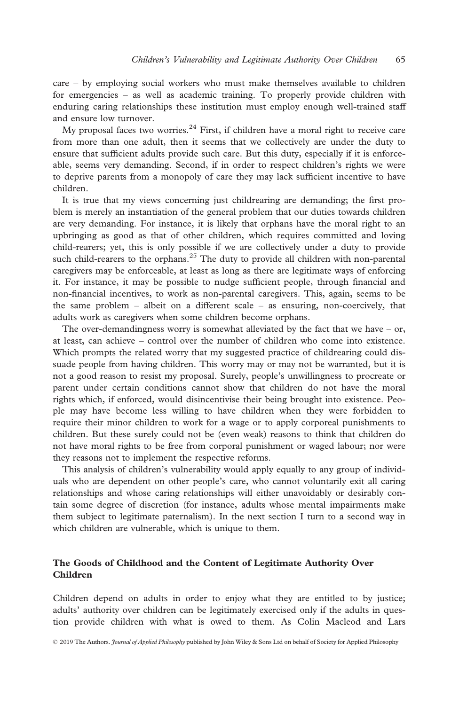care – by employing social workers who must make themselves available to children for emergencies – as well as academic training. To properly provide children with enduring caring relationships these institution must employ enough well-trained staff and ensure low turnover.

My proposal faces two worries. $24$  First, if children have a moral right to receive care from more than one adult, then it seems that we collectively are under the duty to ensure that sufficient adults provide such care. But this duty, especially if it is enforceable, seems very demanding. Second, if in order to respect children's rights we were to deprive parents from a monopoly of care they may lack sufficient incentive to have children.

It is true that my views concerning just childrearing are demanding; the first problem is merely an instantiation of the general problem that our duties towards children are very demanding. For instance, it is likely that orphans have the moral right to an upbringing as good as that of other children, which requires committed and loving child-rearers; yet, this is only possible if we are collectively under a duty to provide such child-rearers to the orphans.<sup>25</sup> The duty to provide all children with non-parental caregivers may be enforceable, at least as long as there are legitimate ways of enforcing it. For instance, it may be possible to nudge sufficient people, through financial and non-financial incentives, to work as non-parental caregivers. This, again, seems to be the same problem – albeit on a different scale – as ensuring, non-coercively, that adults work as caregivers when some children become orphans.

The over-demandingness worry is somewhat alleviated by the fact that we have  $-$  or, at least, can achieve – control over the number of children who come into existence. Which prompts the related worry that my suggested practice of childrearing could dissuade people from having children. This worry may or may not be warranted, but it is not a good reason to resist my proposal. Surely, people's unwillingness to procreate or parent under certain conditions cannot show that children do not have the moral rights which, if enforced, would disincentivise their being brought into existence. People may have become less willing to have children when they were forbidden to require their minor children to work for a wage or to apply corporeal punishments to children. But these surely could not be (even weak) reasons to think that children do not have moral rights to be free from corporal punishment or waged labour; nor were they reasons not to implement the respective reforms.

This analysis of children's vulnerability would apply equally to any group of individuals who are dependent on other people's care, who cannot voluntarily exit all caring relationships and whose caring relationships will either unavoidably or desirably contain some degree of discretion (for instance, adults whose mental impairments make them subject to legitimate paternalism). In the next section I turn to a second way in which children are vulnerable, which is unique to them.

#### The Goods of Childhood and the Content of Legitimate Authority Over Children

Children depend on adults in order to enjoy what they are entitled to by justice; adults' authority over children can be legitimately exercised only if the adults in question provide children with what is owed to them. As Colin Macleod and Lars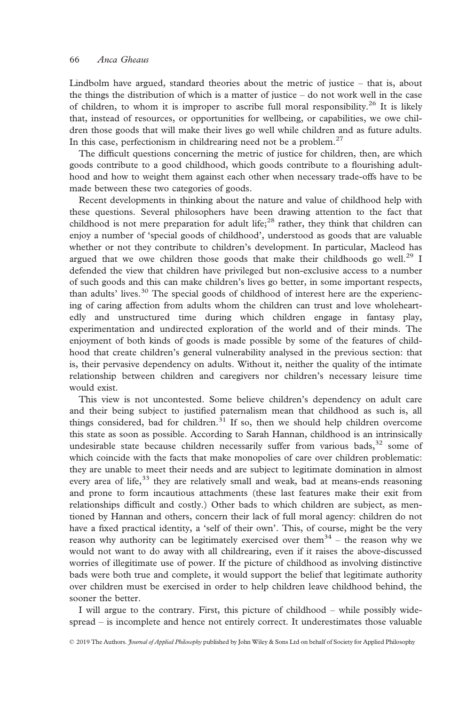Lindbolm have argued, standard theories about the metric of justice – that is, about the things the distribution of which is a matter of justice  $-$  do not work well in the case of children, to whom it is improper to ascribe full moral responsibility.<sup>26</sup> It is likely that, instead of resources, or opportunities for wellbeing, or capabilities, we owe children those goods that will make their lives go well while children and as future adults. In this case, perfectionism in childrearing need not be a problem.<sup>27</sup>

The difficult questions concerning the metric of justice for children, then, are which goods contribute to a good childhood, which goods contribute to a flourishing adulthood and how to weight them against each other when necessary trade-offs have to be made between these two categories of goods.

Recent developments in thinking about the nature and value of childhood help with these questions. Several philosophers have been drawing attention to the fact that childhood is not mere preparation for adult life;<sup>28</sup> rather, they think that children can enjoy a number of 'special goods of childhood', understood as goods that are valuable whether or not they contribute to children's development. In particular, Macleod has argued that we owe children those goods that make their childhoods go well.<sup>29</sup> I defended the view that children have privileged but non-exclusive access to a number of such goods and this can make children's lives go better, in some important respects, than adults' lives.<sup>30</sup> The special goods of childhood of interest here are the experiencing of caring affection from adults whom the children can trust and love wholeheartedly and unstructured time during which children engage in fantasy play, experimentation and undirected exploration of the world and of their minds. The enjoyment of both kinds of goods is made possible by some of the features of childhood that create children's general vulnerability analysed in the previous section: that is, their pervasive dependency on adults. Without it, neither the quality of the intimate relationship between children and caregivers nor children's necessary leisure time would exist.

This view is not uncontested. Some believe children's dependency on adult care and their being subject to justified paternalism mean that childhood as such is, all things considered, bad for children.<sup>31</sup> If so, then we should help children overcome this state as soon as possible. According to Sarah Hannan, childhood is an intrinsically undesirable state because children necessarily suffer from various bads, $32$  some of which coincide with the facts that make monopolies of care over children problematic: they are unable to meet their needs and are subject to legitimate domination in almost every area of life,  $33$  they are relatively small and weak, bad at means-ends reasoning and prone to form incautious attachments (these last features make their exit from relationships difficult and costly.) Other bads to which children are subject, as mentioned by Hannan and others, concern their lack of full moral agency: children do not have a fixed practical identity, a 'self of their own'. This, of course, might be the very reason why authority can be legitimately exercised over them<sup>34</sup> – the reason why we would not want to do away with all childrearing, even if it raises the above-discussed worries of illegitimate use of power. If the picture of childhood as involving distinctive bads were both true and complete, it would support the belief that legitimate authority over children must be exercised in order to help children leave childhood behind, the sooner the better.

I will argue to the contrary. First, this picture of childhood – while possibly widespread – is incomplete and hence not entirely correct. It underestimates those valuable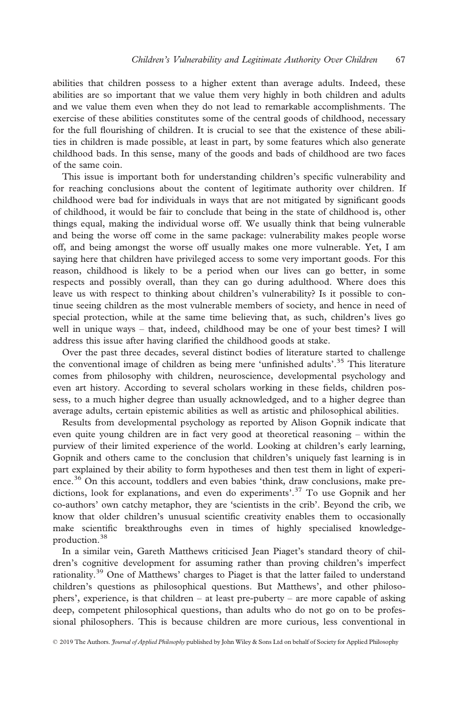abilities that children possess to a higher extent than average adults. Indeed, these abilities are so important that we value them very highly in both children and adults and we value them even when they do not lead to remarkable accomplishments. The exercise of these abilities constitutes some of the central goods of childhood, necessary for the full flourishing of children. It is crucial to see that the existence of these abilities in children is made possible, at least in part, by some features which also generate childhood bads. In this sense, many of the goods and bads of childhood are two faces of the same coin.

This issue is important both for understanding children's specific vulnerability and for reaching conclusions about the content of legitimate authority over children. If childhood were bad for individuals in ways that are not mitigated by significant goods of childhood, it would be fair to conclude that being in the state of childhood is, other things equal, making the individual worse off. We usually think that being vulnerable and being the worse off come in the same package: vulnerability makes people worse off, and being amongst the worse off usually makes one more vulnerable. Yet, I am saying here that children have privileged access to some very important goods. For this reason, childhood is likely to be a period when our lives can go better, in some respects and possibly overall, than they can go during adulthood. Where does this leave us with respect to thinking about children's vulnerability? Is it possible to continue seeing children as the most vulnerable members of society, and hence in need of special protection, while at the same time believing that, as such, children's lives go well in unique ways – that, indeed, childhood may be one of your best times? I will address this issue after having clarified the childhood goods at stake.

Over the past three decades, several distinct bodies of literature started to challenge the conventional image of children as being mere 'unfinished adults'.<sup>35</sup> This literature comes from philosophy with children, neuroscience, developmental psychology and even art history. According to several scholars working in these fields, children possess, to a much higher degree than usually acknowledged, and to a higher degree than average adults, certain epistemic abilities as well as artistic and philosophical abilities.

Results from developmental psychology as reported by Alison Gopnik indicate that even quite young children are in fact very good at theoretical reasoning – within the purview of their limited experience of the world. Looking at children's early learning, Gopnik and others came to the conclusion that children's uniquely fast learning is in part explained by their ability to form hypotheses and then test them in light of experience.<sup>36</sup> On this account, toddlers and even babies 'think, draw conclusions, make predictions, look for explanations, and even do experiments'. <sup>37</sup> To use Gopnik and her co-authors' own catchy metaphor, they are 'scientists in the crib'. Beyond the crib, we know that older children's unusual scientific creativity enables them to occasionally make scientific breakthroughs even in times of highly specialised knowledgeproduction.<sup>38</sup>

In a similar vein, Gareth Matthews criticised Jean Piaget's standard theory of children's cognitive development for assuming rather than proving children's imperfect rationality.<sup>39</sup> One of Matthews' charges to Piaget is that the latter failed to understand children's questions as philosophical questions. But Matthews', and other philosophers', experience, is that children – at least pre-puberty – are more capable of asking deep, competent philosophical questions, than adults who do not go on to be professional philosophers. This is because children are more curious, less conventional in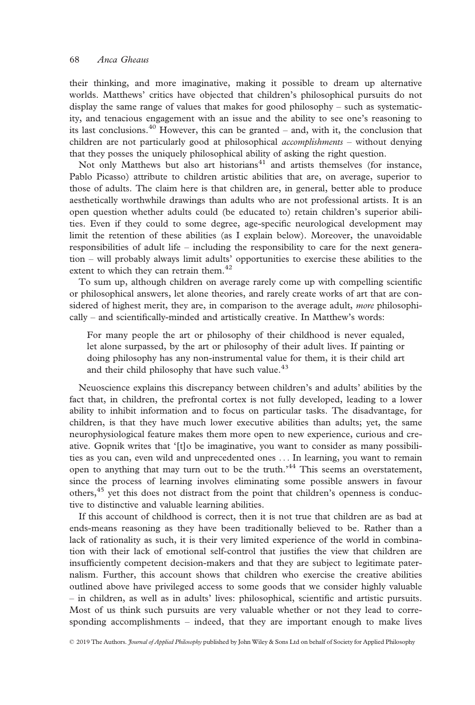their thinking, and more imaginative, making it possible to dream up alternative worlds. Matthews' critics have objected that children's philosophical pursuits do not display the same range of values that makes for good philosophy – such as systematicity, and tenacious engagement with an issue and the ability to see one's reasoning to its last conclusions.<sup>40</sup> However, this can be granted – and, with it, the conclusion that children are not particularly good at philosophical *accomplishments* – without denying that they posses the uniquely philosophical ability of asking the right question.

Not only Matthews but also art historians<sup>41</sup> and artists themselves (for instance, Pablo Picasso) attribute to children artistic abilities that are, on average, superior to those of adults. The claim here is that children are, in general, better able to produce aesthetically worthwhile drawings than adults who are not professional artists. It is an open question whether adults could (be educated to) retain children's superior abilities. Even if they could to some degree, age-specific neurological development may limit the retention of these abilities (as I explain below). Moreover, the unavoidable responsibilities of adult life – including the responsibility to care for the next generation – will probably always limit adults' opportunities to exercise these abilities to the extent to which they can retrain them. $42$ 

To sum up, although children on average rarely come up with compelling scientific or philosophical answers, let alone theories, and rarely create works of art that are considered of highest merit, they are, in comparison to the average adult, *more* philosophically – and scientifically-minded and artistically creative. In Matthew's words:

For many people the art or philosophy of their childhood is never equaled, let alone surpassed, by the art or philosophy of their adult lives. If painting or doing philosophy has any non-instrumental value for them, it is their child art and their child philosophy that have such value.<sup>43</sup>

Neuoscience explains this discrepancy between children's and adults' abilities by the fact that, in children, the prefrontal cortex is not fully developed, leading to a lower ability to inhibit information and to focus on particular tasks. The disadvantage, for children, is that they have much lower executive abilities than adults; yet, the same neurophysiological feature makes them more open to new experience, curious and creative. Gopnik writes that '[t]o be imaginative, you want to consider as many possibilities as you can, even wild and unprecedented ones ... In learning, you want to remain open to anything that may turn out to be the truth.<sup>144</sup> This seems an overstatement, since the process of learning involves eliminating some possible answers in favour others,<sup>45</sup> yet this does not distract from the point that children's openness is conductive to distinctive and valuable learning abilities.

If this account of childhood is correct, then it is not true that children are as bad at ends-means reasoning as they have been traditionally believed to be. Rather than a lack of rationality as such, it is their very limited experience of the world in combination with their lack of emotional self-control that justifies the view that children are insufficiently competent decision-makers and that they are subject to legitimate paternalism. Further, this account shows that children who exercise the creative abilities outlined above have privileged access to some goods that we consider highly valuable – in children, as well as in adults' lives: philosophical, scientific and artistic pursuits. Most of us think such pursuits are very valuable whether or not they lead to corresponding accomplishments – indeed, that they are important enough to make lives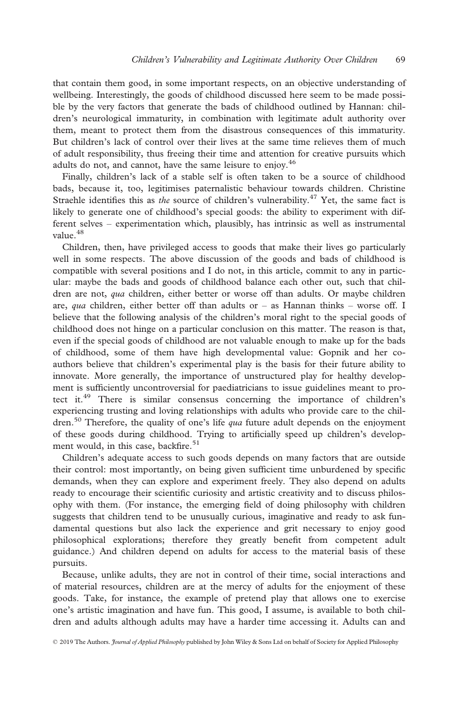that contain them good, in some important respects, on an objective understanding of wellbeing. Interestingly, the goods of childhood discussed here seem to be made possible by the very factors that generate the bads of childhood outlined by Hannan: children's neurological immaturity, in combination with legitimate adult authority over them, meant to protect them from the disastrous consequences of this immaturity. But children's lack of control over their lives at the same time relieves them of much of adult responsibility, thus freeing their time and attention for creative pursuits which adults do not, and cannot, have the same leisure to enjoy.<sup>46</sup>

Finally, children's lack of a stable self is often taken to be a source of childhood bads, because it, too, legitimises paternalistic behaviour towards children. Christine Straehle identifies this as the source of children's vulnerability. $47$  Yet, the same fact is likely to generate one of childhood's special goods: the ability to experiment with different selves – experimentation which, plausibly, has intrinsic as well as instrumental value.<sup>48</sup>

Children, then, have privileged access to goods that make their lives go particularly well in some respects. The above discussion of the goods and bads of childhood is compatible with several positions and I do not, in this article, commit to any in particular: maybe the bads and goods of childhood balance each other out, such that children are not, qua children, either better or worse off than adults. Or maybe children are, qua children, either better off than adults or  $-$  as Hannan thinks  $-$  worse off. I believe that the following analysis of the children's moral right to the special goods of childhood does not hinge on a particular conclusion on this matter. The reason is that, even if the special goods of childhood are not valuable enough to make up for the bads of childhood, some of them have high developmental value: Gopnik and her coauthors believe that children's experimental play is the basis for their future ability to innovate. More generally, the importance of unstructured play for healthy development is sufficiently uncontroversial for paediatricians to issue guidelines meant to protect it.<sup>49</sup> There is similar consensus concerning the importance of children's experiencing trusting and loving relationships with adults who provide care to the children.<sup>50</sup> Therefore, the quality of one's life *qua* future adult depends on the enjoyment of these goods during childhood. Trying to artificially speed up children's development would, in this case, backfire.<sup>51</sup>

Children's adequate access to such goods depends on many factors that are outside their control: most importantly, on being given sufficient time unburdened by specific demands, when they can explore and experiment freely. They also depend on adults ready to encourage their scientific curiosity and artistic creativity and to discuss philosophy with them. (For instance, the emerging field of doing philosophy with children suggests that children tend to be unusually curious, imaginative and ready to ask fundamental questions but also lack the experience and grit necessary to enjoy good philosophical explorations; therefore they greatly benefit from competent adult guidance.) And children depend on adults for access to the material basis of these pursuits.

Because, unlike adults, they are not in control of their time, social interactions and of material resources, children are at the mercy of adults for the enjoyment of these goods. Take, for instance, the example of pretend play that allows one to exercise one's artistic imagination and have fun. This good, I assume, is available to both children and adults although adults may have a harder time accessing it. Adults can and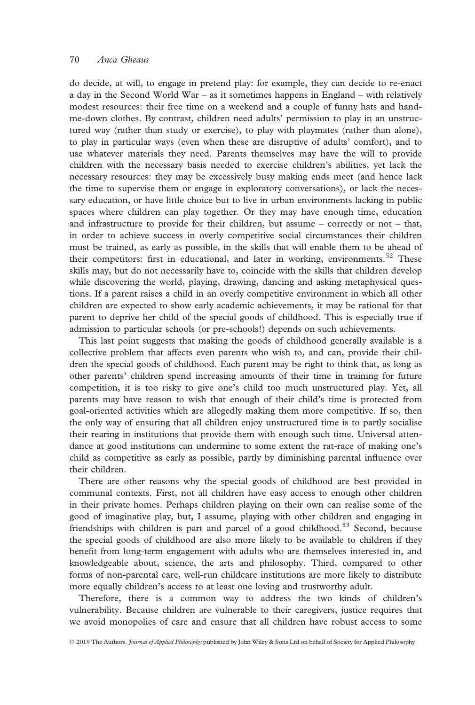do decide, at will, to engage in pretend play: for example, they can decide to re-enact a day in the Second World War – as it sometimes happens in England – with relatively modest resources: their free time on a weekend and a couple of funny hats and handme-down clothes. By contrast, children need adults' permission to play in an unstructured way (rather than study or exercise), to play with playmates (rather than alone), to play in particular ways (even when these are disruptive of adults' comfort), and to use whatever materials they need. Parents themselves may have the will to provide children with the necessary basis needed to exercise children's abilities, yet lack the necessary resources: they may be excessively busy making ends meet (and hence lack the time to supervise them or engage in exploratory conversations), or lack the necessary education, or have little choice but to live in urban environments lacking in public spaces where children can play together. Or they may have enough time, education and infrastructure to provide for their children, but assume – correctly or not – that, in order to achieve success in overly competitive social circumstances their children must be trained, as early as possible, in the skills that will enable them to be ahead of their competitors: first in educational, and later in working, environments.<sup>52</sup> These skills may, but do not necessarily have to, coincide with the skills that children develop while discovering the world, playing, drawing, dancing and asking metaphysical questions. If a parent raises a child in an overly competitive environment in which all other children are expected to show early academic achievements, it may be rational for that parent to deprive her child of the special goods of childhood. This is especially true if admission to particular schools (or pre-schools!) depends on such achievements.

This last point suggests that making the goods of childhood generally available is a collective problem that affects even parents who wish to, and can, provide their children the special goods of childhood. Each parent may be right to think that, as long as other parents' children spend increasing amounts of their time in training for future competition, it is too risky to give one's child too much unstructured play. Yet, all parents may have reason to wish that enough of their child's time is protected from goal-oriented activities which are allegedly making them more competitive. If so, then the only way of ensuring that all children enjoy unstructured time is to partly socialise their rearing in institutions that provide them with enough such time. Universal attendance at good institutions can undermine to some extent the rat-race of making one's child as competitive as early as possible, partly by diminishing parental influence over their children.

There are other reasons why the special goods of childhood are best provided in communal contexts. First, not all children have easy access to enough other children in their private homes. Perhaps children playing on their own can realise some of the good of imaginative play, but, I assume, playing with other children and engaging in friendships with children is part and parcel of a good childhood.<sup>53</sup> Second, because the special goods of childhood are also more likely to be available to children if they benefit from long-term engagement with adults who are themselves interested in, and knowledgeable about, science, the arts and philosophy. Third, compared to other forms of non-parental care, well-run childcare institutions are more likely to distribute more equally children's access to at least one loving and trustworthy adult.

Therefore, there is a common way to address the two kinds of children's vulnerability. Because children are vulnerable to their caregivers, justice requires that we avoid monopolies of care and ensure that all children have robust access to some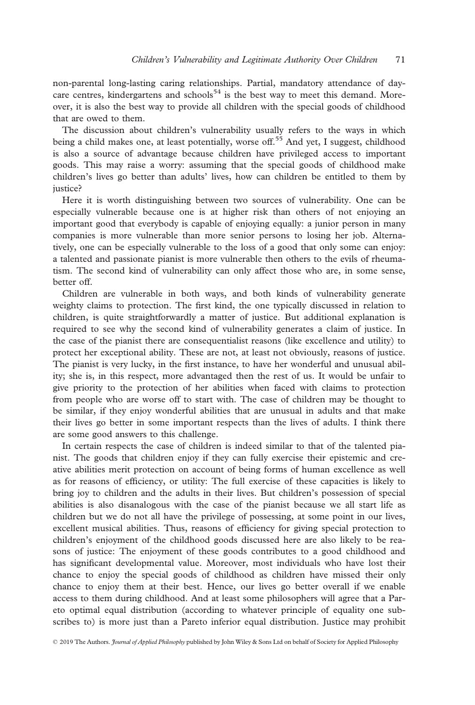non-parental long-lasting caring relationships. Partial, mandatory attendance of daycare centres, kindergartens and schools<sup>54</sup> is the best way to meet this demand. Moreover, it is also the best way to provide all children with the special goods of childhood that are owed to them.

The discussion about children's vulnerability usually refers to the ways in which being a child makes one, at least potentially, worse off.<sup>55</sup> And yet, I suggest, childhood is also a source of advantage because children have privileged access to important goods. This may raise a worry: assuming that the special goods of childhood make children's lives go better than adults' lives, how can children be entitled to them by justice?

Here it is worth distinguishing between two sources of vulnerability. One can be especially vulnerable because one is at higher risk than others of not enjoying an important good that everybody is capable of enjoying equally: a junior person in many companies is more vulnerable than more senior persons to losing her job. Alternatively, one can be especially vulnerable to the loss of a good that only some can enjoy: a talented and passionate pianist is more vulnerable then others to the evils of rheumatism. The second kind of vulnerability can only affect those who are, in some sense, better off.

Children are vulnerable in both ways, and both kinds of vulnerability generate weighty claims to protection. The first kind, the one typically discussed in relation to children, is quite straightforwardly a matter of justice. But additional explanation is required to see why the second kind of vulnerability generates a claim of justice. In the case of the pianist there are consequentialist reasons (like excellence and utility) to protect her exceptional ability. These are not, at least not obviously, reasons of justice. The pianist is very lucky, in the first instance, to have her wonderful and unusual ability; she is, in this respect, more advantaged then the rest of us. It would be unfair to give priority to the protection of her abilities when faced with claims to protection from people who are worse off to start with. The case of children may be thought to be similar, if they enjoy wonderful abilities that are unusual in adults and that make their lives go better in some important respects than the lives of adults. I think there are some good answers to this challenge.

In certain respects the case of children is indeed similar to that of the talented pianist. The goods that children enjoy if they can fully exercise their epistemic and creative abilities merit protection on account of being forms of human excellence as well as for reasons of efficiency, or utility: The full exercise of these capacities is likely to bring joy to children and the adults in their lives. But children's possession of special abilities is also disanalogous with the case of the pianist because we all start life as children but we do not all have the privilege of possessing, at some point in our lives, excellent musical abilities. Thus, reasons of efficiency for giving special protection to children's enjoyment of the childhood goods discussed here are also likely to be reasons of justice: The enjoyment of these goods contributes to a good childhood and has significant developmental value. Moreover, most individuals who have lost their chance to enjoy the special goods of childhood as children have missed their only chance to enjoy them at their best. Hence, our lives go better overall if we enable access to them during childhood. And at least some philosophers will agree that a Pareto optimal equal distribution (according to whatever principle of equality one subscribes to) is more just than a Pareto inferior equal distribution. Justice may prohibit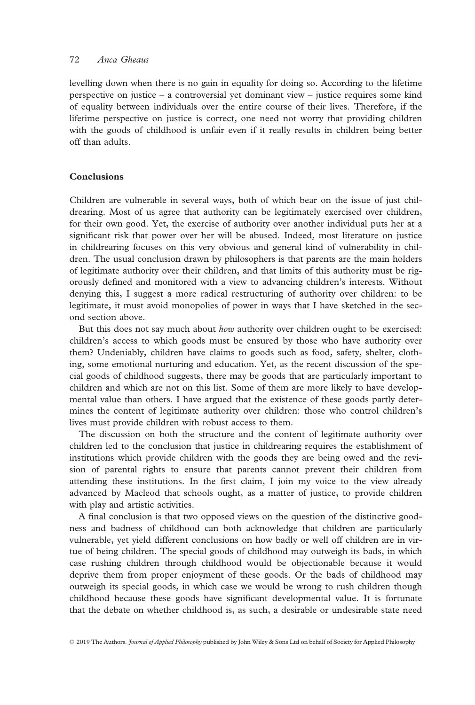#### 72 Anca Gheaus

levelling down when there is no gain in equality for doing so. According to the lifetime perspective on justice – a controversial yet dominant view – justice requires some kind of equality between individuals over the entire course of their lives. Therefore, if the lifetime perspective on justice is correct, one need not worry that providing children with the goods of childhood is unfair even if it really results in children being better off than adults.

#### Conclusions

Children are vulnerable in several ways, both of which bear on the issue of just childrearing. Most of us agree that authority can be legitimately exercised over children, for their own good. Yet, the exercise of authority over another individual puts her at a significant risk that power over her will be abused. Indeed, most literature on justice in childrearing focuses on this very obvious and general kind of vulnerability in children. The usual conclusion drawn by philosophers is that parents are the main holders of legitimate authority over their children, and that limits of this authority must be rigorously defined and monitored with a view to advancing children's interests. Without denying this, I suggest a more radical restructuring of authority over children: to be legitimate, it must avoid monopolies of power in ways that I have sketched in the second section above.

But this does not say much about *how* authority over children ought to be exercised: children's access to which goods must be ensured by those who have authority over them? Undeniably, children have claims to goods such as food, safety, shelter, clothing, some emotional nurturing and education. Yet, as the recent discussion of the special goods of childhood suggests, there may be goods that are particularly important to children and which are not on this list. Some of them are more likely to have developmental value than others. I have argued that the existence of these goods partly determines the content of legitimate authority over children: those who control children's lives must provide children with robust access to them.

The discussion on both the structure and the content of legitimate authority over children led to the conclusion that justice in childrearing requires the establishment of institutions which provide children with the goods they are being owed and the revision of parental rights to ensure that parents cannot prevent their children from attending these institutions. In the first claim, I join my voice to the view already advanced by Macleod that schools ought, as a matter of justice, to provide children with play and artistic activities.

A final conclusion is that two opposed views on the question of the distinctive goodness and badness of childhood can both acknowledge that children are particularly vulnerable, yet yield different conclusions on how badly or well off children are in virtue of being children. The special goods of childhood may outweigh its bads, in which case rushing children through childhood would be objectionable because it would deprive them from proper enjoyment of these goods. Or the bads of childhood may outweigh its special goods, in which case we would be wrong to rush children though childhood because these goods have significant developmental value. It is fortunate that the debate on whether childhood is, as such, a desirable or undesirable state need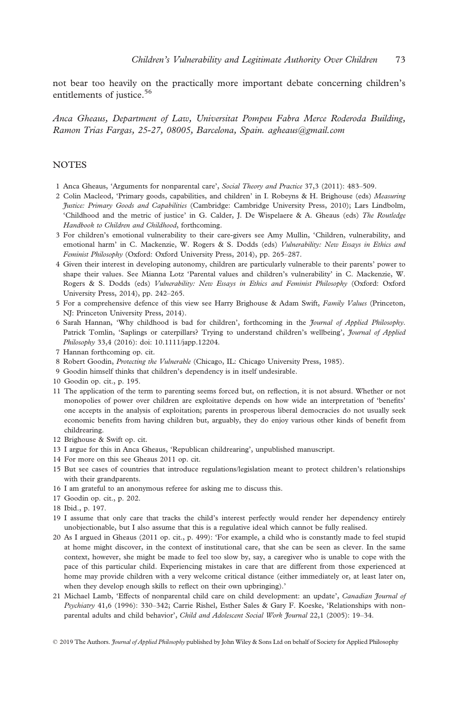not bear too heavily on the practically more important debate concerning children's entitlements of justice.<sup>56</sup>

Anca Gheaus, Department of Law, Universitat Pompeu Fabra Merce Roderoda Building, Ramon Trias Fargas, 25-27, 08005, Barcelona, Spain. agheaus@gmail.com

#### **NOTES**

- 1 Anca Gheaus, 'Arguments for nonparental care', Social Theory and Practice 37,3 (2011): 483–509.
- 2 Colin Macleod, 'Primary goods, capabilities, and children' in I. Robeyns & H. Brighouse (eds) Measuring Justice: Primary Goods and Capabilities (Cambridge: Cambridge University Press, 2010); Lars Lindbolm, 'Childhood and the metric of justice' in G. Calder, J. De Wispelaere & A. Gheaus (eds) The Routledge Handbook to Children and Childhood, forthcoming.
- 3 For children's emotional vulnerability to their care-givers see Amy Mullin, 'Children, vulnerability, and emotional harm' in C. Mackenzie, W. Rogers & S. Dodds (eds) Vulnerability: New Essays in Ethics and Feminist Philosophy (Oxford: Oxford University Press, 2014), pp. 265–287.
- 4 Given their interest in developing autonomy, children are particularly vulnerable to their parents' power to shape their values. See Mianna Lotz 'Parental values and children's vulnerability' in C. Mackenzie, W. Rogers & S. Dodds (eds) Vulnerability: New Essays in Ethics and Feminist Philosophy (Oxford: Oxford University Press, 2014), pp. 242–265.
- 5 For a comprehensive defence of this view see Harry Brighouse & Adam Swift, Family Values (Princeton, NJ: Princeton University Press, 2014).
- 6 Sarah Hannan, 'Why childhood is bad for children', forthcoming in the Journal of Applied Philosophy. Patrick Tomlin, 'Saplings or caterpillars? Trying to understand children's wellbeing', Journal of Applied Philosophy 33,4 (2016): doi: [10.1111/japp.12204](http://dx.doi.org/10.1111/japp.12204).
- 7 Hannan forthcoming op. cit.
- 8 Robert Goodin, Protecting the Vulnerable (Chicago, IL: Chicago University Press, 1985).
- 9 Goodin himself thinks that children's dependency is in itself undesirable.
- 10 Goodin op. cit., p. 195.
- 11 The application of the term to parenting seems forced but, on reflection, it is not absurd. Whether or not monopolies of power over children are exploitative depends on how wide an interpretation of 'benefits' one accepts in the analysis of exploitation; parents in prosperous liberal democracies do not usually seek economic benefits from having children but, arguably, they do enjoy various other kinds of benefit from childrearing.
- 12 Brighouse & Swift op. cit.
- 13 I argue for this in Anca Gheaus, 'Republican childrearing', unpublished manuscript.
- 14 For more on this see Gheaus 2011 op. cit.
- 15 But see cases of countries that introduce regulations/legislation meant to protect children's relationships with their grandparents.
- 16 I am grateful to an anonymous referee for asking me to discuss this.
- 17 Goodin op. cit., p. 202.
- 18 Ibid., p. 197.
- 19 I assume that only care that tracks the child's interest perfectly would render her dependency entirely unobjectionable, but I also assume that this is a regulative ideal which cannot be fully realised.
- 20 As I argued in Gheaus (2011 op. cit., p. 499): 'For example, a child who is constantly made to feel stupid at home might discover, in the context of institutional care, that she can be seen as clever. In the same context, however, she might be made to feel too slow by, say, a caregiver who is unable to cope with the pace of this particular child. Experiencing mistakes in care that are different from those experienced at home may provide children with a very welcome critical distance (either immediately or, at least later on, when they develop enough skills to reflect on their own upbringing).'
- 21 Michael Lamb, 'Effects of nonparental child care on child development: an update', *Canadian Journal of* Psychiatry 41,6 (1996): 330–342; Carrie Rishel, Esther Sales & Gary F. Koeske, 'Relationships with nonparental adults and child behavior', Child and Adolescent Social Work Journal 22,1 (2005): 19-34.

<sup>© 2019</sup> The Authors. *Journal of Applied Philosophy* published by John Wiley & Sons Ltd on behalf of Society for Applied Philosophy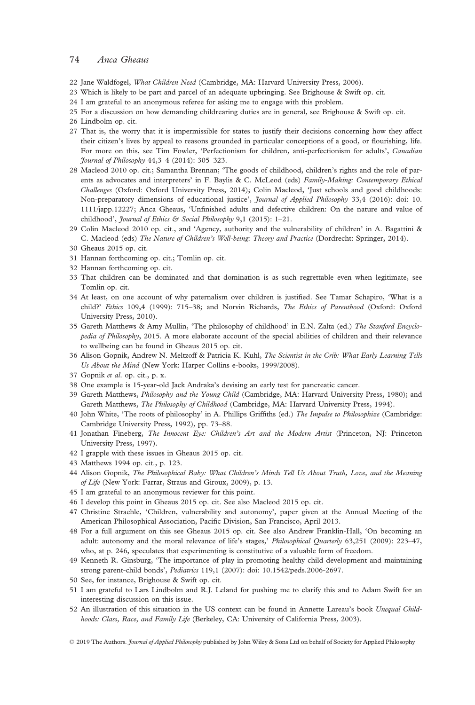#### 74 Anca Gheaus

- 22 Jane Waldfogel, What Children Need (Cambridge, MA: Harvard University Press, 2006).
- 23 Which is likely to be part and parcel of an adequate upbringing. See Brighouse & Swift op. cit.
- 24 I am grateful to an anonymous referee for asking me to engage with this problem.
- 25 For a discussion on how demanding childrearing duties are in general, see Brighouse & Swift op. cit.

- 27 That is, the worry that it is impermissible for states to justify their decisions concerning how they affect their citizen's lives by appeal to reasons grounded in particular conceptions of a good, or flourishing, life. For more on this, see Tim Fowler, 'Perfectionism for children, anti-perfectionism for adults', Canadian Journal of Philosophy 44,3–4 (2014): 305–323.
- 28 Macleod 2010 op. cit.; Samantha Brennan; 'The goods of childhood, children's rights and the role of parents as advocates and interpreters' in F. Baylis & C. McLeod (eds) Family-Making: Contemporary Ethical Challenges (Oxford: Oxford University Press, 2014); Colin Macleod, 'Just schools and good childhoods: Non-preparatory dimensions of educational justice', *Journal of Applied Philosophy* 33,4 (2016): doi: [10.](http://dx.doi.org/10.1111/japp.12227) [1111/japp.12227;](http://dx.doi.org/10.1111/japp.12227) Anca Gheaus, 'Unfinished adults and defective children: On the nature and value of childhood', Journal of Ethics & Social Philosophy 9,1 (2015): 1-21.
- 29 Colin Macleod 2010 op. cit., and 'Agency, authority and the vulnerability of children' in A. Bagattini & C. Macleod (eds) The Nature of Children's Well-being: Theory and Practice (Dordrecht: Springer, 2014).
- 30 Gheaus 2015 op. cit.
- 31 Hannan forthcoming op. cit.; Tomlin op. cit.
- 32 Hannan forthcoming op. cit.
- 33 That children can be dominated and that domination is as such regrettable even when legitimate, see Tomlin op. cit.
- 34 At least, on one account of why paternalism over children is justified. See Tamar Schapiro, 'What is a child?' Ethics 109,4 (1999): 715-38; and Norvin Richards, The Ethics of Parenthood (Oxford: Oxford University Press, 2010).
- 35 Gareth Matthews & Amy Mullin, 'The philosophy of childhood' in E.N. Zalta (ed.) The Stanford Encyclopedia of Philosophy, 2015. A more elaborate account of the special abilities of children and their relevance to wellbeing can be found in Gheaus 2015 op. cit.
- 36 Alison Gopnik, Andrew N. Meltzoff & Patricia K. Kuhl, The Scientist in the Crib: What Early Learning Tells Us About the Mind (New York: Harper Collins e-books, 1999/2008).
- 37 Gopnik et al. op. cit., p. x.
- 38 One example is 15-year-old Jack Andraka's devising an early test for pancreatic cancer.
- 39 Gareth Matthews, Philosophy and the Young Child (Cambridge, MA: Harvard University Press, 1980); and Gareth Matthews, The Philosophy of Childhood (Cambridge, MA: Harvard University Press, 1994).
- 40 John White, 'The roots of philosophy' in A. Phillips Griffiths (ed.) The Impulse to Philosophize (Cambridge: Cambridge University Press, 1992), pp. 73–88.
- 41 Jonathan Fineberg, The Innocent Eye: Children's Art and the Modern Artist (Princeton, NJ: Princeton University Press, 1997).
- 42 I grapple with these issues in Gheaus 2015 op. cit.
- 43 Matthews 1994 op. cit., p. 123.
- 44 Alison Gopnik, The Philosophical Baby: What Children's Minds Tell Us About Truth, Love, and the Meaning of Life (New York: Farrar, Straus and Giroux, 2009), p. 13.
- 45 I am grateful to an anonymous reviewer for this point.
- 46 I develop this point in Gheaus 2015 op. cit. See also Macleod 2015 op. cit.
- 47 Christine Straehle, 'Children, vulnerability and autonomy', paper given at the Annual Meeting of the American Philosophical Association, Pacific Division, San Francisco, April 2013.
- 48 For a full argument on this see Gheaus 2015 op. cit. See also Andrew Franklin-Hall, 'On becoming an adult: autonomy and the moral relevance of life's stages,' Philosophical Quarterly 63,251 (2009): 223–47, who, at p. 246, speculates that experimenting is constitutive of a valuable form of freedom.
- 49 Kenneth R. Ginsburg, 'The importance of play in promoting healthy child development and maintaining strong parent-child bonds', Pediatrics 119,1 (2007): doi: [10.1542/peds.2006-2697](http://dx.doi.org/10.1542/peds.2006-2697).
- 50 See, for instance, Brighouse & Swift op. cit.
- 51 I am grateful to Lars Lindbolm and R.J. Leland for pushing me to clarify this and to Adam Swift for an interesting discussion on this issue.
- 52 An illustration of this situation in the US context can be found in Annette Lareau's book Unequal Childhoods: Class, Race, and Family Life (Berkeley, CA: University of California Press, 2003).

<sup>26</sup> Lindbolm op. cit.